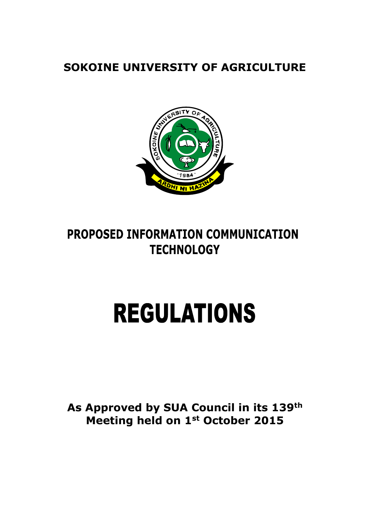**SOKOINE UNIVERSITY OF AGRICULTURE** 



# PROPOSED INFORMATION COMMUNICATION **TECHNOLOGY**

# **REGULATIONS**

**As Approved by SUA Council in its 139th Meeting held on 1st October 2015**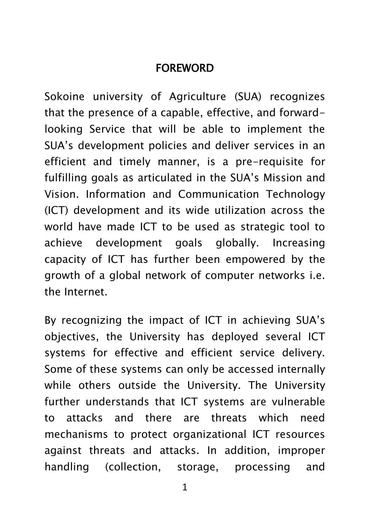#### FOREWORD

Sokoine university of Agriculture (SUA) recognizes that the presence of a capable, effective, and forwardlooking Service that will be able to implement the SUA's development policies and deliver services in an efficient and timely manner, is a pre-requisite for fulfilling goals as articulated in the SUA's Mission and Vision. Information and Communication Technology (ICT) development and its wide utilization across the world have made ICT to be used as strategic tool to achieve development goals globally. Increasing capacity of ICT has further been empowered by the growth of a global network of computer networks i.e. the Internet.

By recognizing the impact of ICT in achieving SUA's objectives, the University has deployed several ICT systems for effective and efficient service delivery. Some of these systems can only be accessed internally while others outside the University. The University further understands that ICT systems are vulnerable to attacks and there are threats which need mechanisms to protect organizational ICT resources against threats and attacks. In addition, improper handling (collection, storage, processing and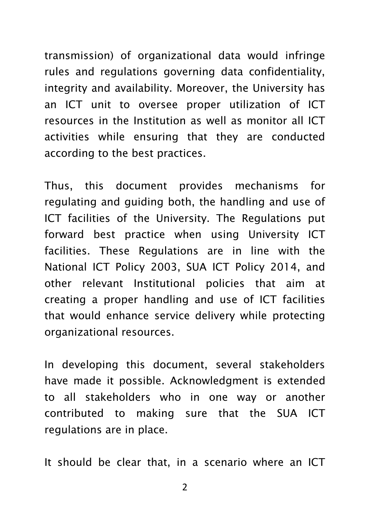transmission) of organizational data would infringe rules and regulations governing data confidentiality, integrity and availability. Moreover, the University has an ICT unit to oversee proper utilization of ICT resources in the Institution as well as monitor all ICT activities while ensuring that they are conducted according to the best practices.

Thus, this document provides mechanisms for regulating and guiding both, the handling and use of ICT facilities of the University. The Regulations put forward best practice when using University ICT facilities. These Regulations are in line with the National ICT Policy 2003, SUA ICT Policy 2014, and other relevant Institutional policies that aim at creating a proper handling and use of ICT facilities that would enhance service delivery while protecting organizational resources.

In developing this document, several stakeholders have made it possible. Acknowledgment is extended to all stakeholders who in one way or another contributed to making sure that the SUA ICT regulations are in place.

It should be clear that, in a scenario where an ICT

 $\mathcal{P}$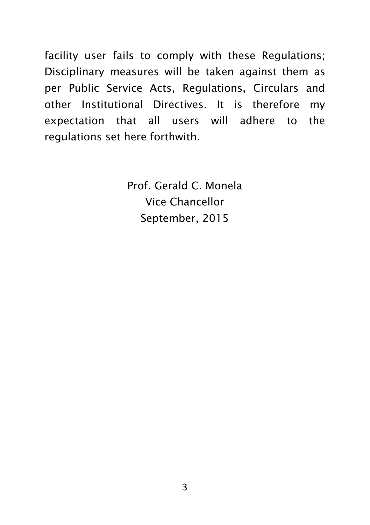facility user fails to comply with these Regulations; Disciplinary measures will be taken against them as per Public Service Acts, Regulations, Circulars and other Institutional Directives. It is therefore my expectation that all users will adhere to the regulations set here forthwith.

> Prof. Gerald C. Monela Vice Chancellor September, 2015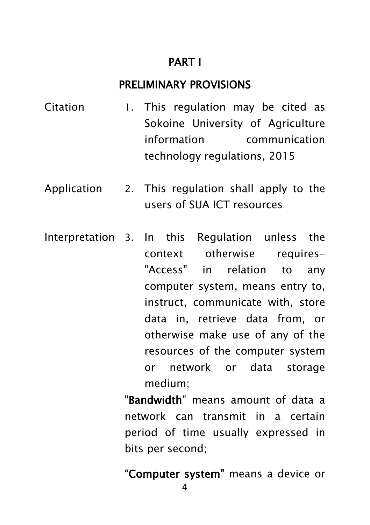#### PART I

#### PRELIMINARY PROVISIONS

- Citation 1. This regulation may be cited as Sokoine University of Agriculture information communication technology regulations, 2015
- Application 2. This regulation shall apply to the users of SUA ICT resources
- Interpretation 3. In this Regulation unless the context otherwise requires- "Access" in relation to any computer system, means entry to, instruct, communicate with, store data in, retrieve data from, or otherwise make use of any of the resources of the computer system or network or data storage medium;

"Bandwidth" means amount of data a network can transmit in a certain period of time usually expressed in bits per second;

"Computer system" means a device or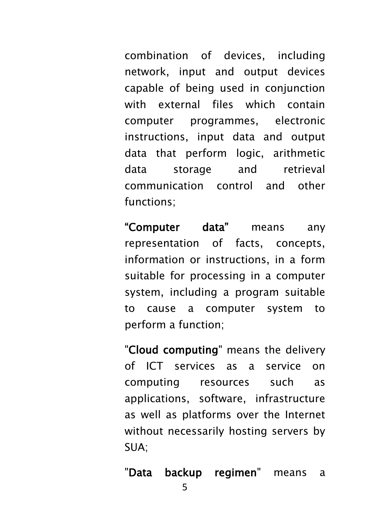combination of devices, including network, input and output devices capable of being used in conjunction with external files which contain computer programmes, electronic instructions, input data and output data that perform logic, arithmetic data storage and retrieval communication control and other functions;

"Computer data" means any representation of facts, concepts, information or instructions, in a form suitable for processing in a computer system, including a program suitable to cause a computer system to perform a function;

"Cloud computing" means the delivery of ICT services as a service on computing resources such as applications, software, infrastructure as well as platforms over the Internet without necessarily hosting servers by SUA;

"Data backup regimen" means a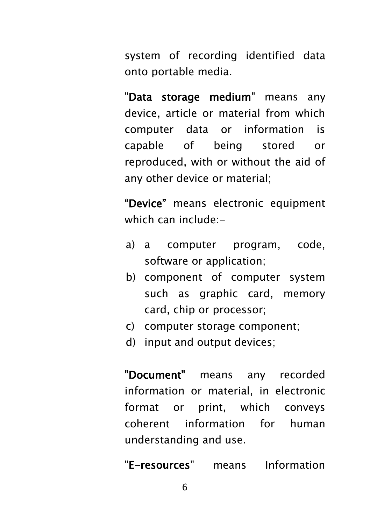system of recording identified data onto portable media.

"Data storage medium" means any device, article or material from which computer data or information is capable of being stored or reproduced, with or without the aid of any other device or material;

"Device" means electronic equipment which can include:-

- a) a computer program, code, software or application;
- b) component of computer system such as graphic card, memory card, chip or processor;
- c) computer storage component;
- d) input and output devices;

"Document" means any recorded information or material, in electronic format or print, which conveys coherent information for human understanding and use.

"E-resources" means Information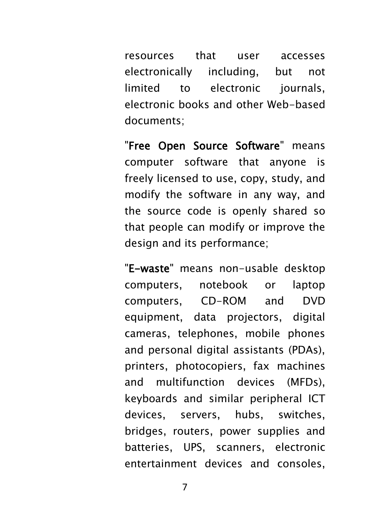resources that user accesses electronically including, but not limited to electronic journals, electronic books and other Web-based documents;

"Free Open Source Software" means computer software that anyone is freely licensed to use, copy, study, and modify the software in any way, and the source code is openly shared so that people can modify or improve the design and its performance;

"E-waste" means non-usable desktop computers, notebook or laptop computers, CD-ROM and DVD equipment, data projectors, digital cameras, telephones, mobile phones and personal digital assistants (PDAs), printers, photocopiers, fax machines and multifunction devices (MFDs), keyboards and similar peripheral ICT devices, servers, hubs, switches, bridges, routers, power supplies and batteries, UPS, scanners, electronic entertainment devices and consoles,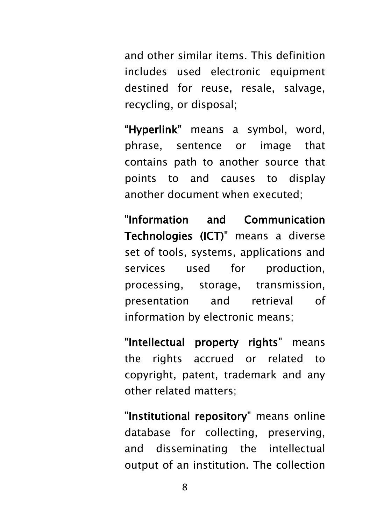and other similar items. This definition includes used electronic equipment destined for reuse, resale, salvage, recycling, or disposal;

"Hyperlink" means a symbol, word, phrase, sentence or image that contains path to another source that points to and causes to display another document when executed;

"Information and Communication Technologies (ICT)" means a diverse set of tools, systems, applications and services used for production, processing, storage, transmission, presentation and retrieval of information by electronic means;

"Intellectual property rights" means the rights accrued or related to copyright, patent, trademark and any other related matters;

"Institutional repository" means online database for collecting, preserving, and disseminating the intellectual output of an institution. The collection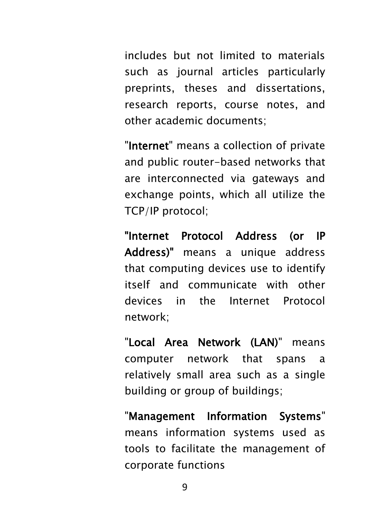includes but not limited to materials such as journal articles particularly preprints, theses and dissertations, research reports, course notes, and other academic documents;

"Internet" means a collection of private and public router-based networks that are interconnected via gateways and exchange points, which all utilize the TCP/IP protocol;

"Internet Protocol Address (or IP Address)" means a unique address that computing devices use to identify itself and communicate with other devices in the Internet Protocol network;

"Local Area Network (LAN)" means computer network that spans a relatively small area such as a single building or group of buildings;

"Management Information Systems" means information systems used as tools to facilitate the management of corporate functions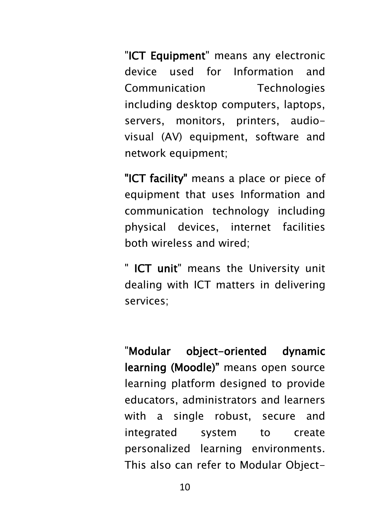"ICT Equipment" means any electronic device used for Information and Communication Technologies including desktop computers, laptops, servers, monitors, printers, audiovisual (AV) equipment, software and network equipment;

"ICT facility" means a place or piece of equipment that uses Information and communication technology including physical devices, internet facilities both wireless and wired;

" ICT unit" means the University unit dealing with ICT matters in delivering services;

"Modular object-oriented dynamic learning (Moodle)" means open source learning platform designed to provide educators, administrators and learners with a single robust, secure and integrated system to create personalized learning environments. This also can refer to Modular Object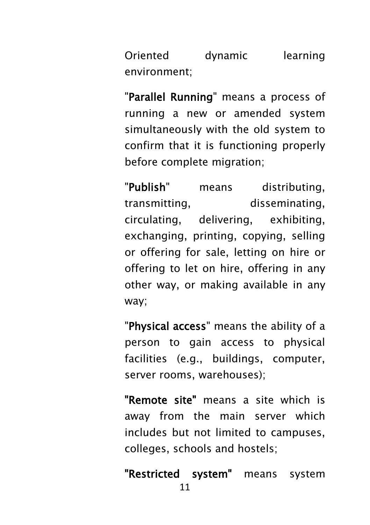Oriented dynamic learning environment;

"Parallel Running" means a process of running a new or amended system simultaneously with the old system to confirm that it is functioning properly before complete migration;

"Publish" means distributing, transmitting, disseminating, circulating, delivering, exhibiting, exchanging, printing, copying, selling or offering for sale, letting on hire or offering to let on hire, offering in any other way, or making available in any way;

"Physical access" means the ability of a person to gain access to physical facilities (e.g., buildings, computer, server rooms, warehouses);

"Remote site" means a site which is away from the main server which includes but not limited to campuses, colleges, schools and hostels;

11 "Restricted system" means system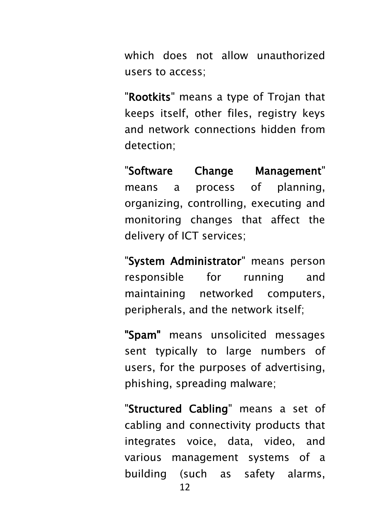which does not allow unauthorized users to access;

"Rootkits" means a type of Trojan that keeps itself, other files, registry keys and network connections hidden from detection;

"Software Change Management" means a process of planning, organizing, controlling, executing and monitoring changes that affect the delivery of ICT services;

"System Administrator" means person responsible for running and maintaining networked computers, peripherals, and the network itself;

"Spam" means unsolicited messages sent typically to large numbers of users, for the purposes of advertising, phishing, spreading malware;

"Structured Cabling" means a set of cabling and connectivity products that integrates voice, data, video, and various management systems of a building (such as safety alarms,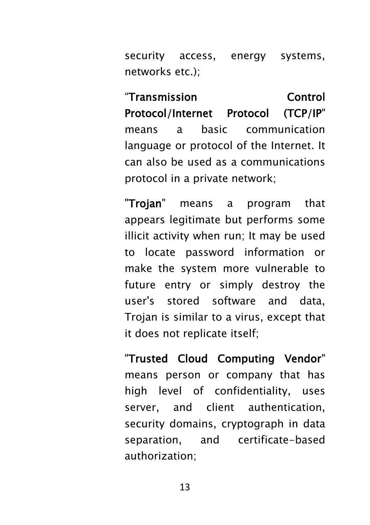security access, energy systems, networks etc.).

"Transmission Control Protocol/Internet Protocol (TCP/IP" means a basic communication language or protocol of the Internet. It can also be used as a communications protocol in a private network;

"Trojan" means a program that appears legitimate but performs some illicit activity when run; It may be used to locate password information or make the system more vulnerable to future entry or simply destroy the user's stored software and data, Trojan is similar to a virus, except that it does not replicate itself;

"Trusted Cloud Computing Vendor" means person or company that has high level of confidentiality, uses server, and client authentication, security domains, cryptograph in data separation, and certificate-based authorization;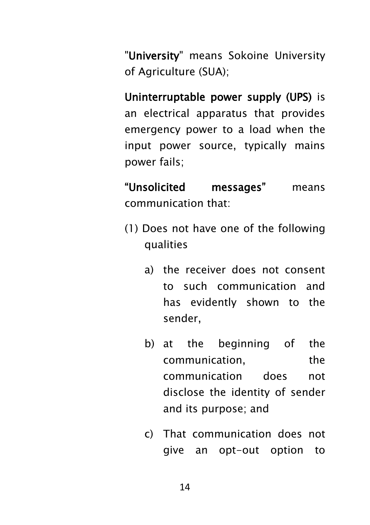"University" means Sokoine University of Agriculture (SUA);

Uninterruptable power supply (UPS) is an electrical apparatus that provides emergency power to a load when the input power source, typically [mains](https://en.wikipedia.org/wiki/Mains_electricity)  [power](https://en.wikipedia.org/wiki/Mains_electricity) fails;

"Unsolicited messages" means communication that:

- (1) Does not have one of the following qualities
	- a) the receiver does not consent to such communication and has evidently shown to the sender,
	- b) at the beginning of the communication, the communication does not disclose the identity of sender and its purpose; and
	- c) That communication does not give an opt-out option to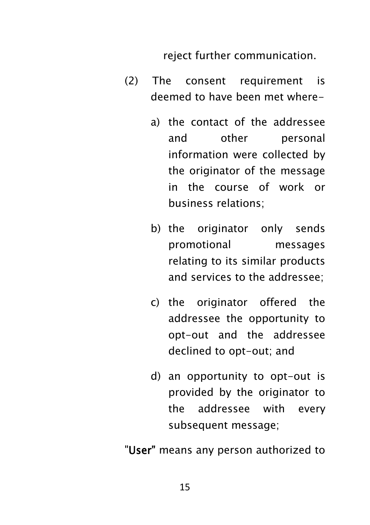reject further communication.

- (2) The consent requirement is deemed to have been met where
	- a) the contact of the addressee and other personal information were collected by the originator of the message in the course of work or business relations;
	- b) the originator only sends promotional messages relating to its similar products and services to the addressee;
	- c) the originator offered the addressee the opportunity to opt-out and the addressee declined to opt-out; and
	- d) an opportunity to opt-out is provided by the originator to the addressee with every subsequent message;

"User" means any person authorized to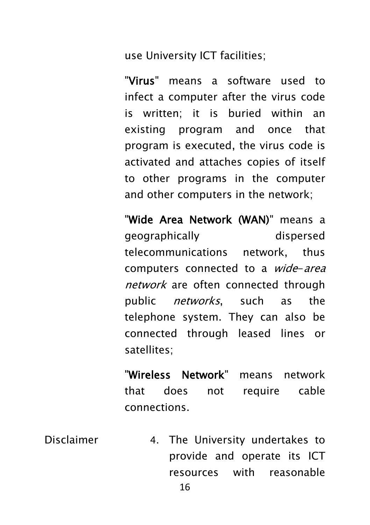use University ICT facilities;

"Virus" means a software used to infect a computer after the virus code is written; it is buried within an existing program and once that program is executed, the virus code is activated and attaches copies of itself to other programs in the computer and other computers in the network;

"Wide Area Network (WAN)" means a geographically dispersed telecommunications network, thus computers connected to a *wide-area* network are often connected through public *networks*, such as the telephone system. They can also be connected through leased lines or satellites;

"Wireless Network" means network that does not require cable connections.

Disclaimer 4. The University undertakes to provide and operate its ICT resources with reasonable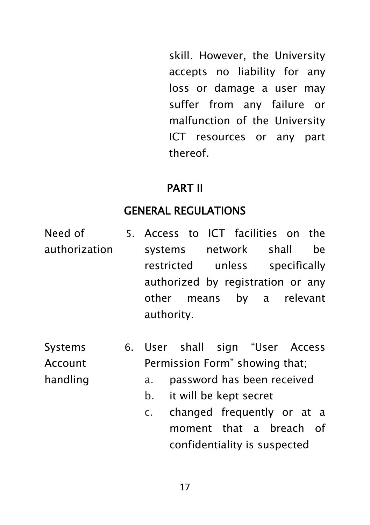skill. However, the University accepts no liability for any loss or damage a user may suffer from any failure or malfunction of the University ICT resources or any part thereof.

#### PART II

#### GENERAL REGULATIONS

- Need of authorization 5. Access to ICT facilities on the systems network shall be restricted unless specifically authorized by registration or any other means by a relevant authority.
- **Systems** Account handling
- 6. User shall sign "User Access Permission Form" showing that;
	- a. password has been received
	- b. it will be kept secret
	- c. changed frequently or at a moment that a breach of confidentiality is suspected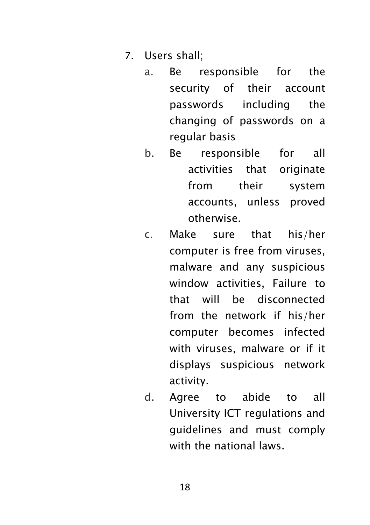- 7. Users shall;
	- a. Be responsible for the security of their account passwords including the changing of passwords on a regular basis
	- b. Be responsible for all activities that originate from their system accounts, unless proved otherwise.
	- c. Make sure that his/her computer is free from viruses, malware and any suspicious window activities, Failure to that will be disconnected from the network if his/her computer becomes infected with viruses, malware or if it displays suspicious network activity.
	- d. Agree to abide to all University ICT regulations and guidelines and must comply with the national laws.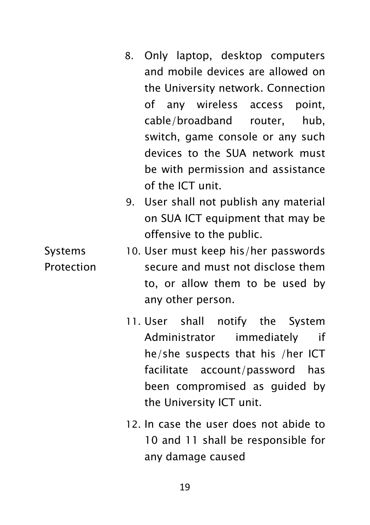- 8. Only laptop, desktop computers and mobile devices are allowed on the University network. Connection of any wireless access point, cable/broadband router, hub, switch, game console or any such devices to the SUA network must be with permission and assistance of the ICT unit.
- 9. User shall not publish any material on SUA ICT equipment that may be offensive to the public.
- Systems Protection 10. User must keep his/her passwords secure and must not disclose them to, or allow them to be used by any other person.
	- 11. User shall notify the System Administrator immediately if he/she suspects that his /her ICT facilitate account/password has been compromised as guided by the University ICT unit.
	- 12. In case the user does not abide to 10 and 11 shall be responsible for any damage caused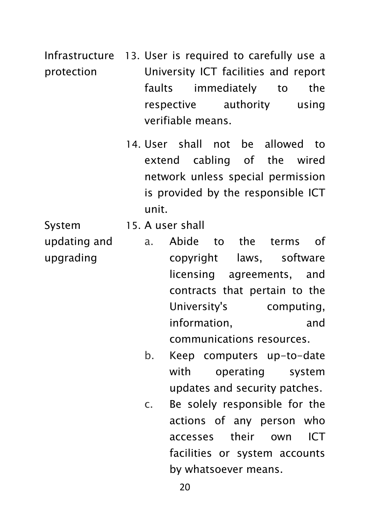Infrastructure 13. User is required to carefully use a protection University ICT facilities and report faults immediately to the respective authority using verifiable means.

> 14. User shall not be allowed to extend cabling of the wired network unless special permission is provided by the responsible ICT unit.

System updating and upgrading

- 15. A user shall
	- a. Abide to the terms of copyright laws, software licensing agreements, and contracts that pertain to the University's computing, information, and communications resources.
	- b. Keep computers up-to-date with operating system updates and security patches.
	- c. Be solely responsible for the actions of any person who accesses their own ICT facilities or system accounts by whatsoever means.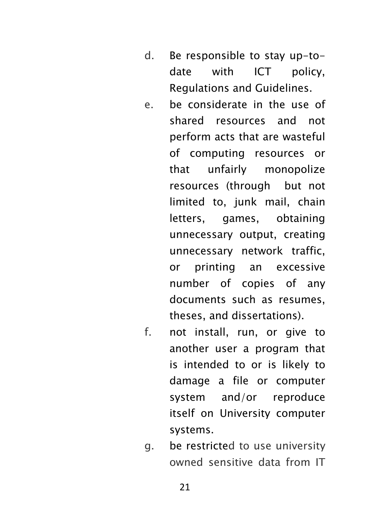- d. Be responsible to stay up-todate with ICT policy, Regulations and Guidelines.
- e. be considerate in the use of shared resources and not perform acts that are wasteful of computing resources or that unfairly monopolize resources (through but not limited to, junk mail, chain letters, games, obtaining unnecessary output, creating unnecessary network traffic, or printing an excessive number of copies of any documents such as resumes, theses, and dissertations).
- f. not install, run, or give to another user a program that is intended to or is likely to damage a file or computer system and/or reproduce itself on University computer systems.
- g. be restricted to use university owned sensitive data from IT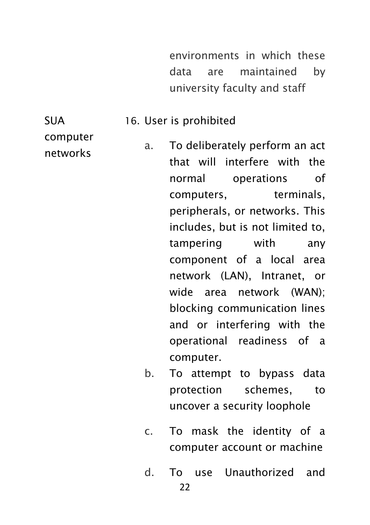environments in which these data are maintained by university faculty and staff

#### 16. User is prohibited

computer networks

SUA

- a. To deliberately perform an act that will interfere with the normal operations of computers, terminals, peripherals, or networks. This includes, but is not limited to, tampering with any component of a local area network (LAN), Intranet, or wide area network (WAN); blocking communication lines and or interfering with the operational readiness of a computer.
- b. To attempt to bypass data protection schemes, to uncover a security loophole
- c. To mask the identity of a computer account or machine
- d. To use Unauthorized and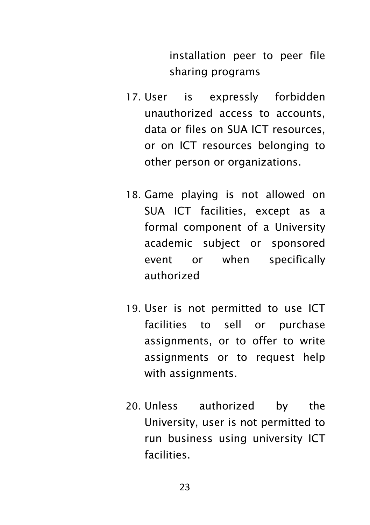installation peer to peer file sharing programs

- 17. User is expressly forbidden unauthorized access to accounts, data or files on SUA ICT resources, or on ICT resources belonging to other person or organizations.
- 18. Game playing is not allowed on SUA ICT facilities, except as a formal component of a University academic subject or sponsored event or when specifically authorized
- 19. User is not permitted to use ICT facilities to sell or purchase assignments, or to offer to write assignments or to request help with assignments.
- 20. Unless authorized by the University, user is not permitted to run business using university ICT facilities.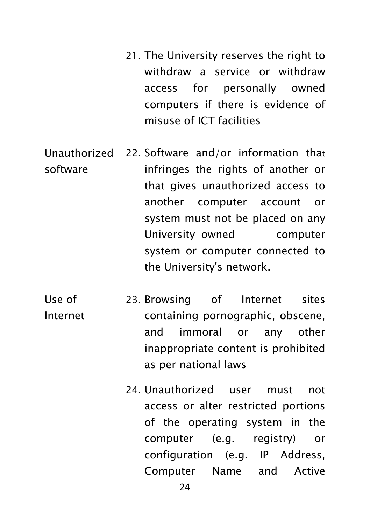- 21. The University reserves the right to withdraw a service or withdraw access for personally owned computers if there is evidence of misuse of ICT facilities
- Unauthorized software 22. Software and/or information that infringes the rights of another or that gives unauthorized access to another computer account or system must not be placed on any University-owned computer system or computer connected to the University's network.
- Use of Internet 23. Browsing of Internet sites containing pornographic, obscene, and immoral or any other inappropriate content is prohibited as per national laws
	- 24. Unauthorized user must not access or alter restricted portions of the operating system in the computer (e.g. registry) or configuration (e.g. IP Address, Computer Name and Active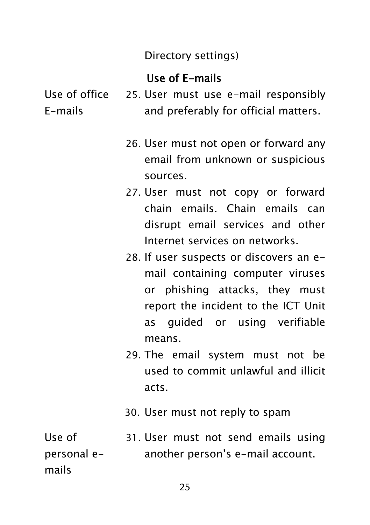#### Directory settings)

#### Use of E-mails

Use of office E-mails

- 25. User must use e-mail responsibly and preferably for official matters.
	- 26. User must not open or forward any email from unknown or suspicious sources.
	- 27. User must not copy or forward chain emails. Chain emails can disrupt email services and other Internet services on networks.
	- 28. If user suspects or discovers an email containing computer viruses or phishing attacks, they must report the incident to the ICT Unit as guided or using verifiable means.
	- 29. The email system must not be used to commit unlawful and illicit acts.
	- 30. User must not reply to spam

Use of personal emails 31. User must not send emails using another person's e-mail account.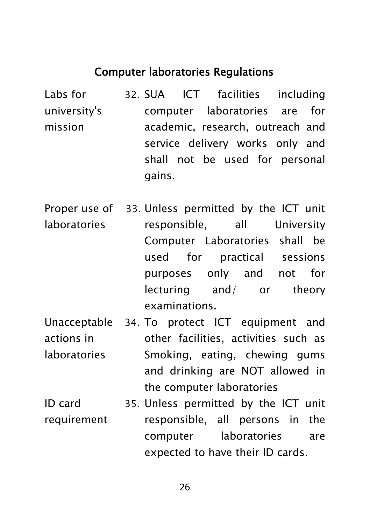#### Computer laboratories Regulations

Labs for university's mission 32. SUA ICT facilities including computer laboratories are for academic, research, outreach and service delivery works only and shall not be used for personal gains.

Proper use of laboratories 33. Unless permitted by the ICT unit responsible, all University Computer Laboratories shall be used for practical sessions purposes only and not for lecturing and/ or theory examinations.

- Unacceptable 34. To protect ICT equipment and actions in laboratories other facilities, activities such as Smoking, eating, chewing gums and drinking are NOT allowed in the computer laboratories
- ID card requirement 35. Unless permitted by the ICT unit responsible, all persons in the computer laboratories are expected to have their ID cards.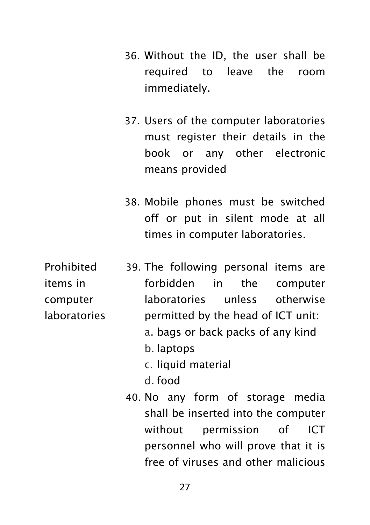- 36. Without the ID, the user shall be required to leave the room immediately.
- 37. Users of the computer laboratories must register their details in the book or any other electronic means provided
- 38. Mobile phones must be switched off or put in silent mode at all times in computer laboratories.

Prohibited items in computer laboratories 39. The following personal items are forbidden in the computer laboratories unless otherwise permitted by the head of ICT unit: a. bags or back packs of any kind b. laptops c. liquid material d. food 40. No any form of storage media

shall be inserted into the computer without permission of ICT personnel who will prove that it is free of viruses and other malicious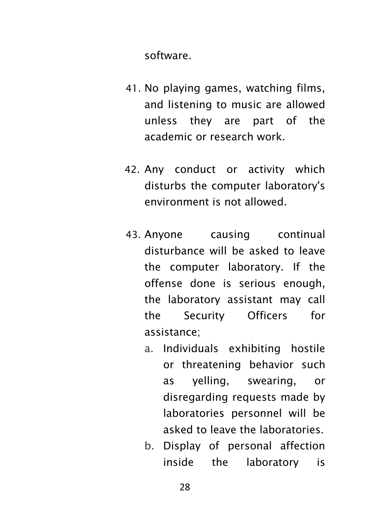software.

- 41. No playing games, watching films, and listening to music are allowed unless they are part of the academic or research work.
- 42. Any conduct or activity which disturbs the computer laboratory's environment is not allowed.
- 43. Anyone causing continual disturbance will be asked to leave the computer laboratory. If the offense done is serious enough, the laboratory assistant may call the Security Officers for assistance;
	- a. Individuals exhibiting hostile or threatening behavior such as yelling, swearing, or disregarding requests made by laboratories personnel will be asked to leave the laboratories.
	- b. Display of personal affection inside the laboratory is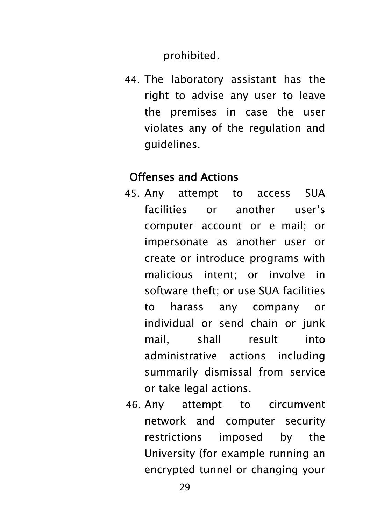prohibited.

44. The laboratory assistant has the right to advise any user to leave the premises in case the user violates any of the regulation and guidelines.

#### Offenses and Actions

- 45. Any attempt to access SUA facilities or another user's computer account or e-mail; or impersonate as another user or create or introduce programs with malicious intent; or involve in software theft; or use SUA facilities to harass any company or individual or send chain or junk mail, shall result into administrative actions including summarily dismissal from service or take legal actions.
- 46. Any attempt to circumvent network and computer security restrictions imposed by the University (for example running an encrypted tunnel or changing your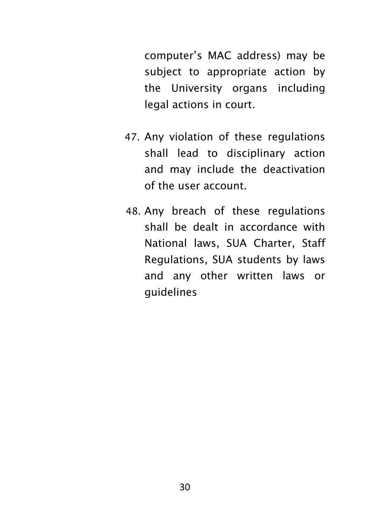computer's MAC address) may be subject to appropriate action by the University organs including legal actions in court.

- 47. Any violation of these regulations shall lead to disciplinary action and may include the deactivation of the user account.
- 48. Any breach of these regulations shall be dealt in accordance with National laws, SUA Charter, Staff Regulations, SUA students by laws and any other written laws or guidelines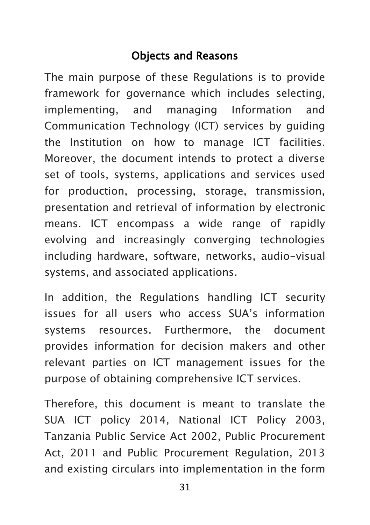### Objects and Reasons

The main purpose of these Regulations is to provide framework for governance which includes selecting, implementing, and managing Information and Communication Technology (ICT) services by guiding the Institution on how to manage ICT facilities. Moreover, the document intends to protect a diverse set of tools, systems, applications and services used for production, processing, storage, transmission, presentation and retrieval of information by electronic means. ICT encompass a wide range of rapidly evolving and increasingly converging technologies including hardware, software, networks, audio-visual systems, and associated applications.

In addition, the Regulations handling ICT security issues for all users who access SUA's information systems resources. Furthermore, the document provides information for decision makers and other relevant parties on ICT management issues for the purpose of obtaining comprehensive ICT services.

Therefore, this document is meant to translate the SUA ICT policy 2014, National ICT Policy 2003, Tanzania Public Service Act 2002, Public Procurement Act, 2011 and Public Procurement Regulation, 2013 and existing circulars into implementation in the form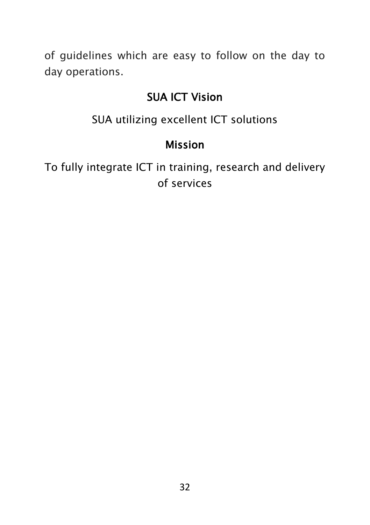of guidelines which are easy to follow on the day to day operations.

#### SUA ICT Vision

SUA utilizing excellent ICT solutions

## Mission

To fully integrate ICT in training, research and delivery of services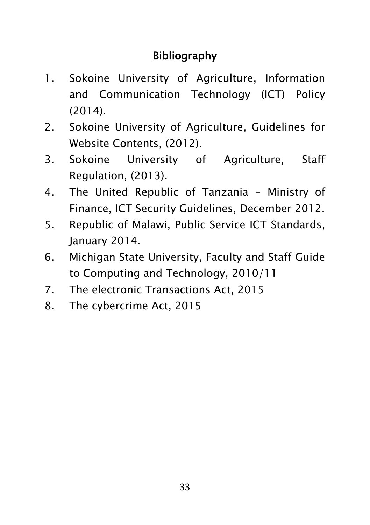## Bibliography

- 1. Sokoine University of Agriculture, Information and Communication Technology (ICT) Policy (2014).
- 2. Sokoine University of Agriculture, Guidelines for Website Contents, (2012).
- 3. Sokoine University of Agriculture, Staff Regulation, (2013).
- 4. The United Republic of Tanzania Ministry of Finance, ICT Security Guidelines, December 2012.
- 5. Republic of Malawi, Public Service ICT Standards, January 2014.
- 6. Michigan State University, Faculty and Staff Guide to Computing and Technology, 2010/11
- 7. The electronic Transactions Act, 2015
- 8. The cybercrime Act, 2015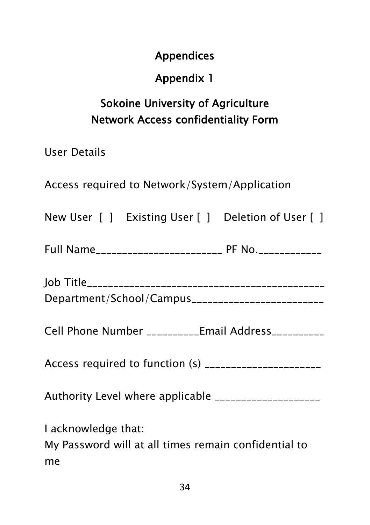### Appendices

## Appendix 1

# Sokoine University of Agriculture Network Access confidentiality Form

User Details

Access required to Network/System/Application

|  | New User [ ] Existing User [ ] Deletion of User [ ] |
|--|-----------------------------------------------------|
|  |                                                     |

| <b>Full Name</b><br>-------------------------- | ____________ |  |
|------------------------------------------------|--------------|--|
|------------------------------------------------|--------------|--|

| Department/School/Campus_________________________ |  |
|---------------------------------------------------|--|

Cell Phone Number \_\_\_\_\_\_\_\_\_\_Email Address\_\_\_\_\_\_\_\_\_\_

Access required to function (s) \_\_\_\_\_\_\_\_\_\_\_\_\_\_\_\_\_\_\_\_\_\_

Authority Level where applicable \_\_\_\_\_\_\_\_\_\_\_\_\_\_\_\_\_\_\_\_

I acknowledge that:

My Password will at all times remain confidential to me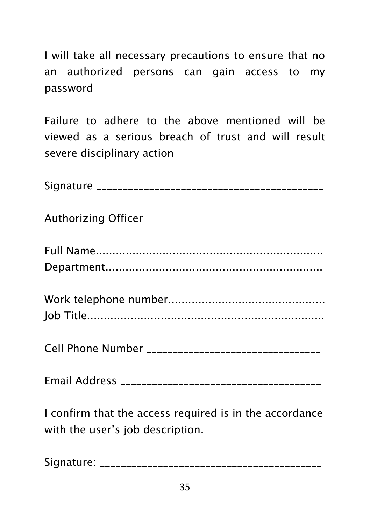I will take all necessary precautions to ensure that no an authorized persons can gain access to my password

Failure to adhere to the above mentioned will be viewed as a serious breach of trust and will result severe disciplinary action

| <b>Authorizing Officer</b> |
|----------------------------|
|                            |
|                            |
|                            |
|                            |
|                            |
|                            |

I confirm that the access required is in the accordance with the user's job description.

Signature: \_\_\_\_\_\_\_\_\_\_\_\_\_\_\_\_\_\_\_\_\_\_\_\_\_\_\_\_\_\_\_\_\_\_\_\_\_\_\_\_\_\_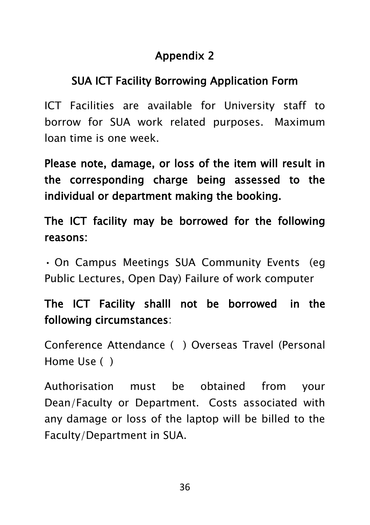## Appendix 2

## SUA ICT Facility Borrowing Application Form

ICT Facilities are available for University staff to borrow for SUA work related purposes. Maximum loan time is one week.

Please note, damage, or loss of the item will result in the corresponding charge being assessed to the individual or department making the booking.

The ICT facility may be borrowed for the following reasons:

• On Campus Meetings SUA Community Events (eg Public Lectures, Open Day) Failure of work computer

## The ICT Facility shalll not be borrowed in the following circumstances:

Conference Attendance ( ) Overseas Travel (Personal Home Use ( )

Authorisation must be obtained from your Dean/Faculty or Department. Costs associated with any damage or loss of the laptop will be billed to the Faculty/Department in SUA.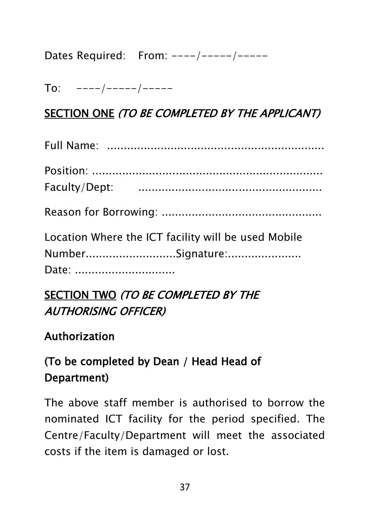Dates Required: From: ----/-----/-----

 $To:$  ----/-----/-----

## SECTION ONE (TO BE COMPLETED BY THE APPLICANT)

| Location Where the ICT facility will be used Mobile<br>NumberSignature:<br>Date: |
|----------------------------------------------------------------------------------|

## SECTION TWO (TO BE COMPLETED BY THE AUTHORISING OFFICER)

## Authorization

# (To be completed by Dean / Head Head of Department)

The above staff member is authorised to borrow the nominated ICT facility for the period specified. The Centre/Faculty/Department will meet the associated costs if the item is damaged or lost.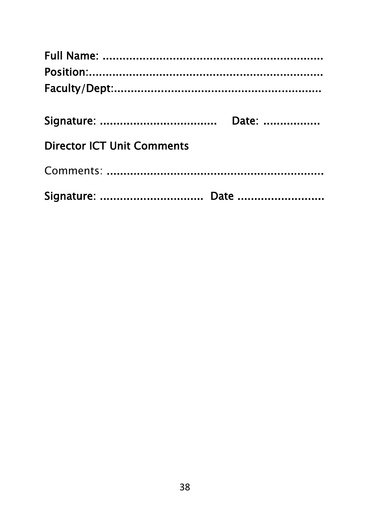| <b>Director ICT Unit Comments</b> |  |
|-----------------------------------|--|
|                                   |  |
|                                   |  |
| Signature:  Date                  |  |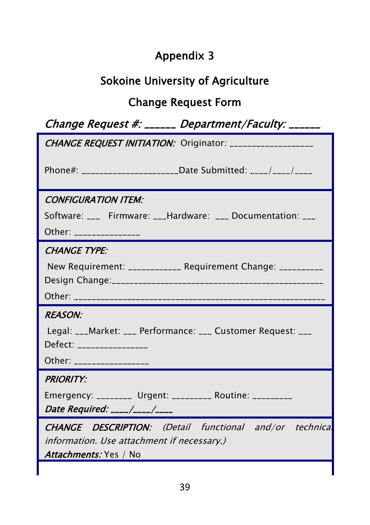# Appendix 3

# Sokoine University of Agriculture

# Change Request Form

System/Product/Service Name: \_\_\_\_\_\_\_\_\_\_\_\_\_\_\_ Version Number:

|                                                          | Change Request #: ______ Department/Faculty: ______            |
|----------------------------------------------------------|----------------------------------------------------------------|
|                                                          | CHANGE REQUEST INITIATION: Originator: __________________      |
|                                                          | Phone#: _______________________Date Submitted: ____/____/____  |
| <b>CONFIGURATION ITEM:</b>                               |                                                                |
|                                                          | Software: ___ Firmware: ___Hardware: ___ Documentation: ___    |
| Other: _______________                                   |                                                                |
| <b>CHANGE TYPE:</b>                                      |                                                                |
|                                                          | New Requirement: ____________ Requirement Change: __________   |
|                                                          |                                                                |
|                                                          |                                                                |
| <b>REASON:</b>                                           |                                                                |
| Defect: ________________                                 | Legal: ___Market: ___ Performance: ___ Customer Request: ___   |
| Other: _________________                                 |                                                                |
| <b>PRIORITY:</b>                                         |                                                                |
| Emergency: ________ Urgent: _________ Routine: _________ |                                                                |
| Date Required: ____/____/____                            |                                                                |
|                                                          | <b>CHANGE DESCRIPTION:</b> (Detail functional and/or technical |
| information. Use attachment if necessary.)               |                                                                |
| Attachments: Yes / No                                    |                                                                |
|                                                          |                                                                |